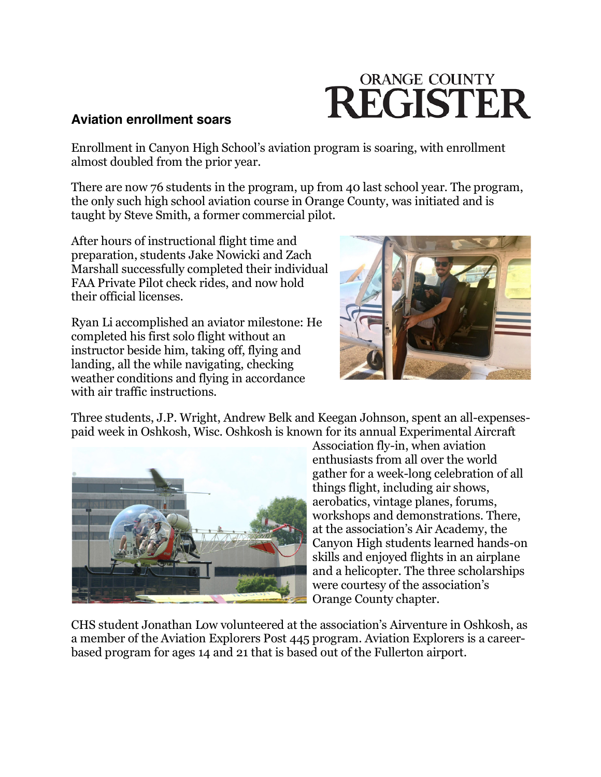## **ORANGE COUNTY REGISTER**

## **Aviation enrollment soars**

Enrollment in Canyon High School's aviation program is soaring, with enrollment almost doubled from the prior year.

There are now 76 students in the program, up from 40 last school year. The program, the only such high school aviation course in Orange County, was initiated and is taught by Steve Smith, a former commercial pilot.

After hours of instructional flight time and preparation, students Jake Nowicki and Zach Marshall successfully completed their individual FAA Private Pilot check rides, and now hold their official licenses.

Ryan Li accomplished an aviator milestone: He completed his first solo flight without an instructor beside him, taking off, flying and landing, all the while navigating, checking weather conditions and flying in accordance with air traffic instructions.



Three students, J.P. Wright, Andrew Belk and Keegan Johnson, spent an all-expensespaid week in Oshkosh, Wisc. Oshkosh is known for its annual Experimental Aircraft



Association fly-in, when aviation enthusiasts from all over the world gather for a week-long celebration of all things flight, including air shows, aerobatics, vintage planes, forums, workshops and demonstrations. There, at the association's Air Academy, the Canyon High students learned hands-on skills and enjoyed flights in an airplane and a helicopter. The three scholarships were courtesy of the association's Orange County chapter.

CHS student Jonathan Low volunteered at the association's Airventure in Oshkosh, as a member of the Aviation Explorers Post 445 program. Aviation Explorers is a careerbased program for ages 14 and 21 that is based out of the Fullerton airport.